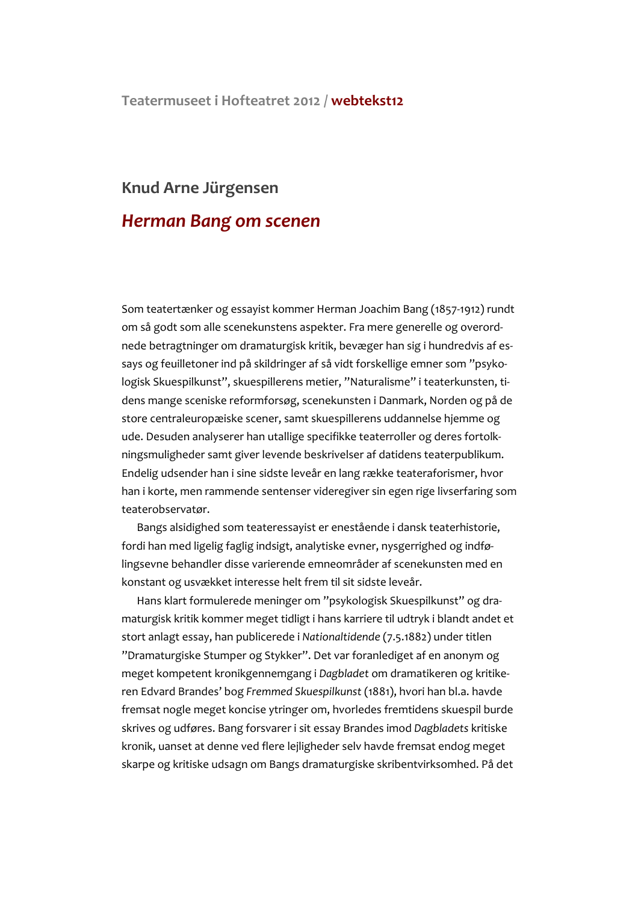## Teatermuseet i Hofteatret 2012 / webtekst12

## Knud Arne Jürgensen

## **Herman Bang om scenen**

Som teatertænker og essayist kommer Herman Joachim Bang (1857-1912) rundt om så godt som alle scenekunstens aspekter. Fra mere generelle og overordnede betragtninger om dramaturgisk kritik, bevæger han sig i hundredvis af essays og feuilletoner ind på skildringer af så vidt forskellige emner som "psykologisk Skuespilkunst", skuespillerens metier, "Naturalisme" i teaterkunsten, tidens mange sceniske reformforsøg, scenekunsten i Danmark, Norden og på de store centraleuropæiske scener, samt skuespillerens uddannelse hjemme og ude. Desuden analyserer han utallige specifikke teaterroller og deres fortolkningsmuligheder samt giver levende beskrivelser af datidens teaterpublikum. Endelig udsender han i sine sidste leveår en lang række teateraforismer, hvor han i korte, men rammende sentenser videregiver sin egen rige livserfaring som teaterobservatør.

Bangs alsidighed som teateressayist er enestående i dansk teaterhistorie, fordi han med ligelig faglig indsigt, analytiske evner, nysgerrighed og indfølingsevne behandler disse varierende emneområder af scenekunsten med en konstant og usvækket interesse helt frem til sit sidste leveår.

Hans klart formulerede meninger om "psykologisk Skuespilkunst" og dramaturgisk kritik kommer meget tidligt i hans karriere til udtryk i blandt andet et stort anlagt essay, han publicerede i Nationaltidende (7.5.1882) under titlen "Dramaturgiske Stumper og Stykker". Det var foranlediget af en anonym og meget kompetent kronikgennemgang i Dagbladet om dramatikeren og kritikeren Edvard Brandes' bog Fremmed Skuespilkunst (1881), hvori han bl.a. havde fremsat nogle meget koncise ytringer om, hvorledes fremtidens skuespil burde skrives og udføres. Bang forsvarer i sit essay Brandes imod Dagbladets kritiske kronik, uanset at denne ved flere lejligheder selv havde fremsat endog meget skarpe og kritiske udsagn om Bangs dramaturgiske skribentvirksomhed. På det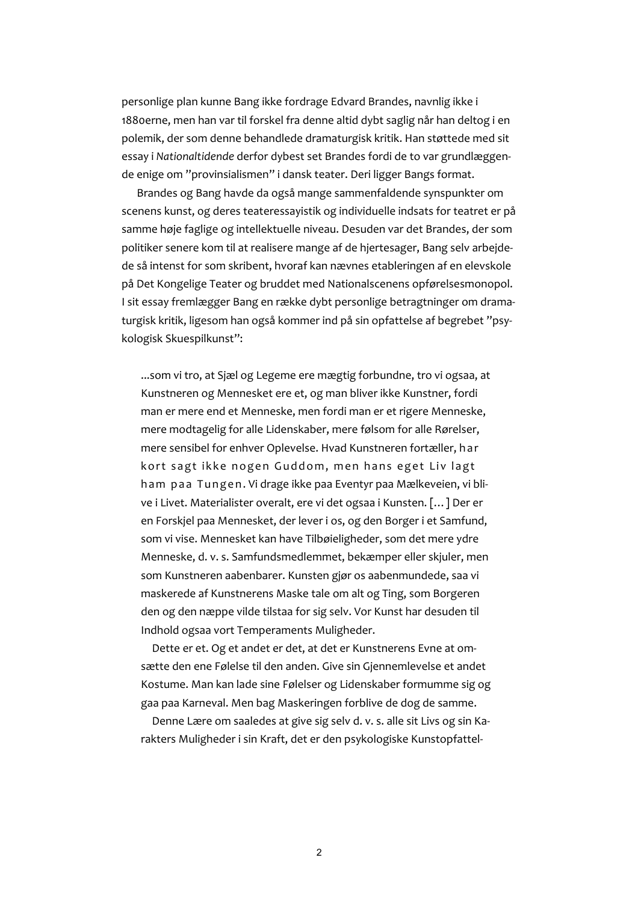personlige plan kunne Bang ikke fordrage Edvard Brandes, navnlig ikke i 1880erne, men han var til forskel fra denne altid dybt saglig når han deltog i en polemik, der som denne behandlede dramaturgisk kritik. Han støttede med sit essay i Nationaltidende derfor dybest set Brandes fordi de to var grundlæggende enige om "provinsialismen" i dansk teater. Deri ligger Bangs format.

Brandes og Bang havde da også mange sammenfaldende synspunkter om scenens kunst, og deres teateressayistik og individuelle indsats for teatret er på samme høje faglige og intellektuelle niveau. Desuden var det Brandes, der som politiker senere kom til at realisere mange af de hjertesager, Bang selv arbejdede så intenst for som skribent, hvoraf kan nævnes etableringen af en elevskole på Det Kongelige Teater og bruddet med Nationalscenens opførelsesmonopol. I sit essay fremlægger Bang en række dybt personlige betragtninger om dramaturgisk kritik, ligesom han også kommer ind på sin opfattelse af begrebet "psykologisk Skuespilkunst":

...som vi tro, at Sjæl og Legeme ere mægtig forbundne, tro vi ogsaa, at Kunstneren og Mennesket ere et, og man bliver ikke Kunstner, fordi man er mere end et Menneske, men fordi man er et rigere Menneske, mere modtagelig for alle Lidenskaber, mere følsom for alle Rørelser, mere sensibel for enhver Oplevelse. Hvad Kunstneren fortæller, har kort sagt ikke nogen Guddom, men hans eget Liv lagt ham paa Tungen. Vi drage ikke paa Eventyr paa Mælkeveien, vi blive i Livet. Materialister overalt, ere vi det ogsaa i Kunsten. [...] Der er en Forskjel paa Mennesket, der lever i os, og den Borger i et Samfund, som vi vise. Mennesket kan have Tilbøieligheder, som det mere vdre Menneske, d. v. s. Samfundsmedlemmet, bekæmper eller skjuler, men som Kunstneren aabenbarer. Kunsten gjør os aabenmundede, saa vi maskerede af Kunstnerens Maske tale om alt og Ting, som Borgeren den og den næppe vilde tilstaa for sig selv. Vor Kunst har desuden til Indhold ogsaa vort Temperaments Muligheder.

Dette er et. Og et andet er det, at det er Kunstnerens Evne at omsætte den ene Følelse til den anden. Give sin Gjennemlevelse et andet Kostume. Man kan lade sine Følelser og Lidenskaber formumme sig og gaa paa Karneval. Men bag Maskeringen forblive de dog de samme.

Denne Lære om saaledes at give sig selv d. v. s. alle sit Livs og sin Karakters Muligheder i sin Kraft, det er den psykologiske Kunstopfattel-

 $\overline{2}$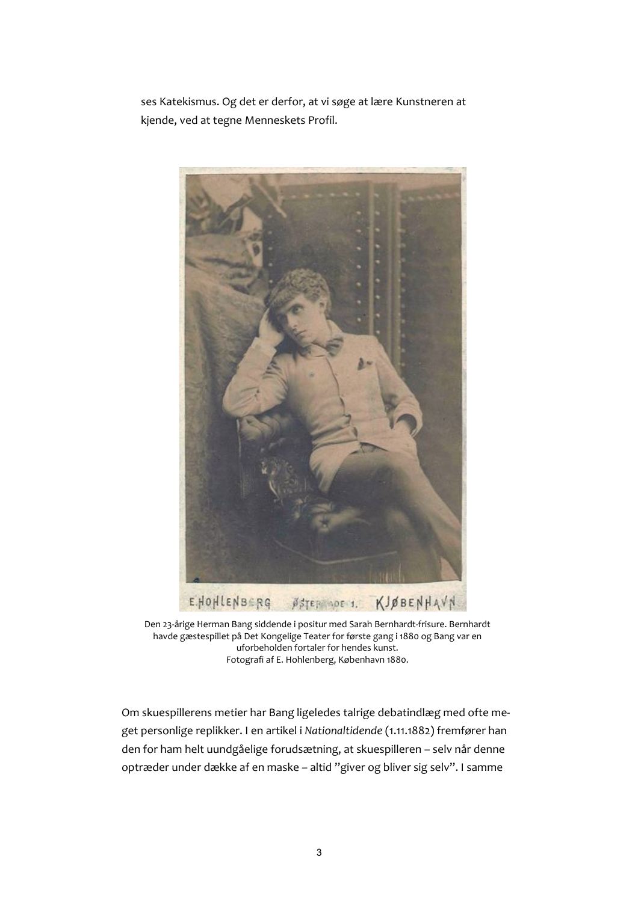ses Katekismus. Og det er derfor, at vi søge at lære Kunstneren at kjende, ved at tegne Menneskets Profil.



Den 23-årige Herman Bang siddende i positur med Sarah Bernhardt-frisure. Bernhardt havde gæstespillet på Det Kongelige Teater for første gang i 1880 og Bang var en uforbeholden fortaler for hendes kunst. Fotografi af E. Hohlenberg, København 1880.

Om skuespillerens metier har Bang ligeledes talrige debatindlæg med ofte meget personlige replikker. I en artikel i Nationaltidende (1.11.1882) fremfører han den for ham helt uundgåelige forudsætning, at skuespilleren - selv når denne optræder under dække af en maske - altid "giver og bliver sig selv". I samme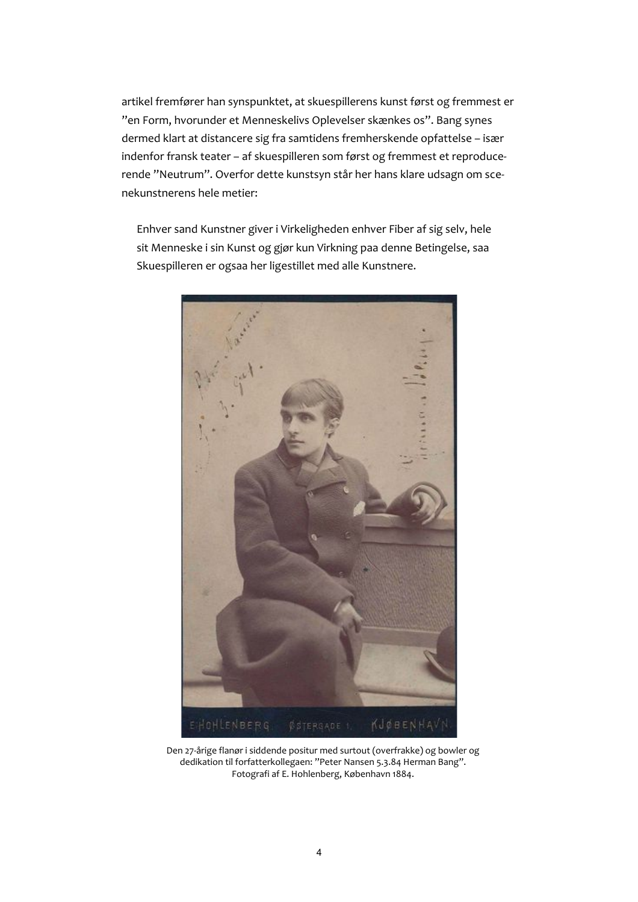artikel fremfører han synspunktet, at skuespillerens kunst først og fremmest er "en Form, hvorunder et Menneskelivs Oplevelser skænkes os". Bang synes dermed klart at distancere sig fra samtidens fremherskende opfattelse - især indenfor fransk teater - af skuespilleren som først og fremmest et reproducerende "Neutrum". Overfor dette kunstsyn står her hans klare udsagn om scenekunstnerens hele metier:

Enhver sand Kunstner giver i Virkeligheden enhver Fiber af sig selv, hele sit Menneske i sin Kunst og gjør kun Virkning paa denne Betingelse, saa Skuespilleren er ogsaa her ligestillet med alle Kunstnere.



Den 27-årige flanør i siddende positur med surtout (overfrakke) og bowler og dedikation til forfatterkollegaen: "Peter Nansen 5.3.84 Herman Bang". Fotografi af E. Hohlenberg, København 1884.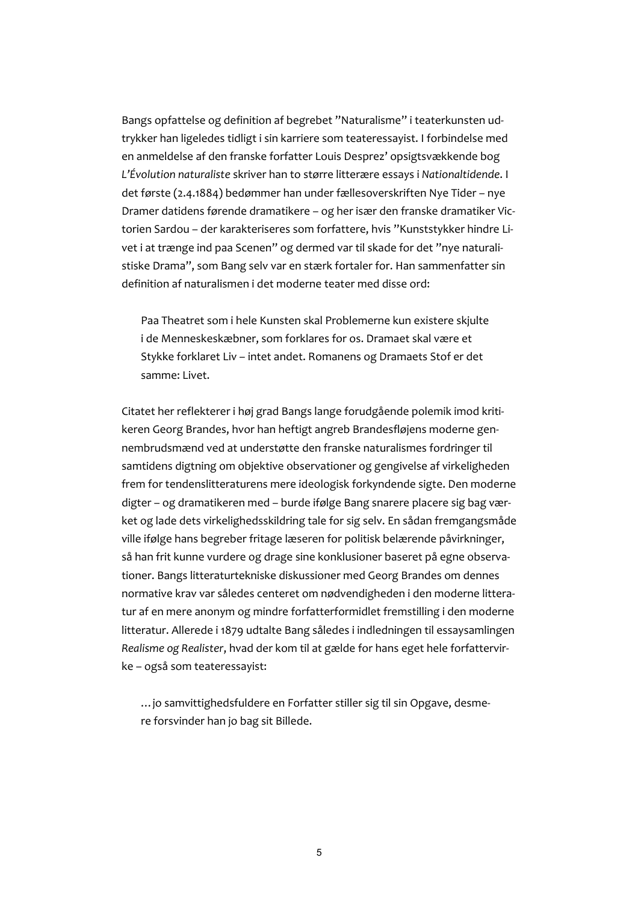Bangs opfattelse og definition af begrebet "Naturalisme" i teaterkunsten udtrykker han ligeledes tidligt i sin karriere som teateressayist. I forbindelse med en anmeldelse af den franske forfatter Louis Desprez' opsigtsvækkende bog L'Évolution naturaliste skriver han to større litterære essays i Nationaltidende. I det første (2.4.1884) bedømmer han under fællesoverskriften Nye Tider - nye Dramer datidens førende dramatikere - og her især den franske dramatiker Victorien Sardou - der karakteriseres som forfattere, hvis "Kunststykker hindre Livet i at trænge ind paa Scenen" og dermed var til skade for det "nye naturalistiske Drama", som Bang selv var en stærk fortaler for. Han sammenfatter sin definition af naturalismen i det moderne teater med disse ord:

Paa Theatret som i hele Kunsten skal Problemerne kun existere skjulte i de Menneskeskæbner, som forklares for os. Dramaet skal være et Stykke forklaret Liv - intet andet. Romanens og Dramaets Stof er det samme: Livet.

Citatet her reflekterer i høj grad Bangs lange forudgående polemik imod kritikeren Georg Brandes, hvor han heftigt angreb Brandesfløjens moderne gennembrudsmænd ved at understøtte den franske naturalismes fordringer til samtidens digtning om objektive observationer og gengivelse af virkeligheden frem for tendenslitteraturens mere ideologisk forkyndende sigte. Den moderne digter - og dramatikeren med - burde ifølge Bang snarere placere sig bag værket og lade dets virkelighedsskildring tale for sig selv. En sådan fremgangsmåde ville ifølge hans begreber fritage læseren for politisk belærende påvirkninger, så han frit kunne vurdere og drage sine konklusioner baseret på egne observationer. Bangs litteraturtekniske diskussioner med Georg Brandes om dennes normative krav var således centeret om nødvendigheden i den moderne litteratur af en mere anonym og mindre forfatterformidlet fremstilling i den moderne litteratur. Allerede i 1879 udtalte Bang således i indledningen til essaysamlingen Realisme og Realister, hvad der kom til at gælde for hans eget hele forfattervirke - også som teateressayist:

... jo samvittighedsfuldere en Forfatter stiller sig til sin Opgave, desmere forsvinder han jo bag sit Billede.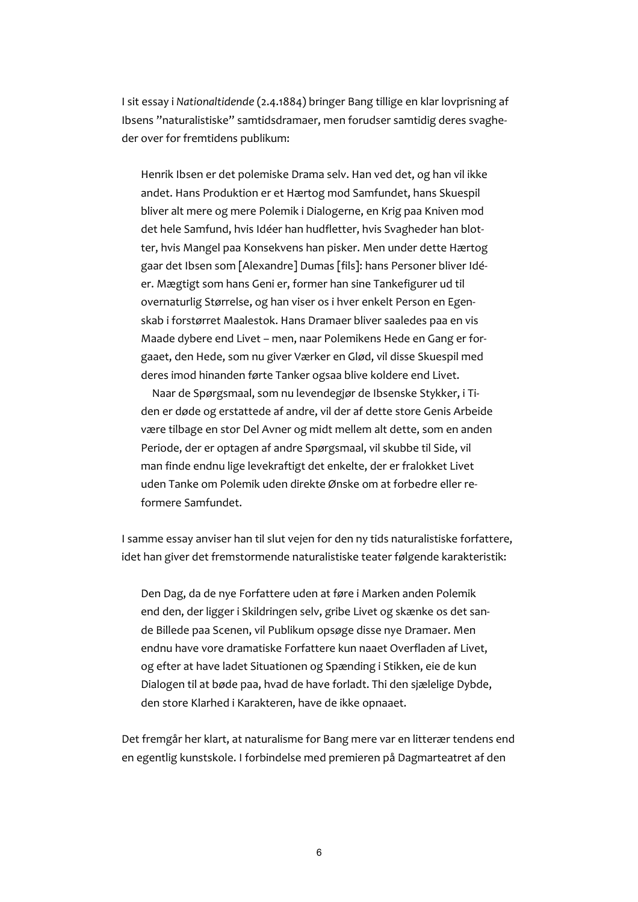I sit essay i Nationaltidende (2.4.1884) bringer Bang tillige en klar lovprisning af Ibsens "naturalistiske" samtidsdramaer, men forudser samtidig deres svagheder over for fremtidens publikum:

Henrik Ibsen er det polemiske Drama selv. Han ved det, og han vil ikke andet. Hans Produktion er et Hærtog mod Samfundet, hans Skuespil bliver alt mere og mere Polemik i Dialogerne, en Krig paa Kniven mod det hele Samfund, hvis Idéer han hudfletter, hvis Svagheder han blotter, hvis Mangel paa Konsekvens han pisker. Men under dette Hærtog gaar det Ibsen som [Alexandre] Dumas [fils]: hans Personer bliver Idéer. Mægtigt som hans Geni er, former han sine Tankefigurer ud til overnaturlig Størrelse, og han viser os i hver enkelt Person en Egenskab i forstørret Maalestok. Hans Dramaer bliver saaledes paa en vis Maade dybere end Livet - men, naar Polemikens Hede en Gang er forgaaet, den Hede, som nu giver Værker en Glød, vil disse Skuespil med deres imod hinanden førte Tanker ogsaa blive koldere end Livet.

Naar de Spørgsmaal, som nu levendegiør de Ibsenske Stykker, i Tiden er døde og erstattede af andre, vil der af dette store Genis Arbeide være tilbage en stor Del Avner og midt mellem alt dette, som en anden Periode, der er optagen af andre Spørgsmaal, vil skubbe til Side, vil man finde endnu lige levekraftigt det enkelte, der er fralokket Livet uden Tanke om Polemik uden direkte Ønske om at forbedre eller reformere Samfundet.

I samme essay anviser han til slut vejen for den ny tids naturalistiske forfattere, idet han giver det fremstormende naturalistiske teater følgende karakteristik:

Den Dag, da de nye Forfattere uden at føre i Marken anden Polemik end den, der ligger i Skildringen selv, gribe Livet og skænke os det sande Billede paa Scenen, vil Publikum opsøge disse nye Dramaer. Men endnu have vore dramatiske Forfattere kun naaet Overfladen af Livet, og efter at have ladet Situationen og Spænding i Stikken, eie de kun Dialogen til at bøde paa, hvad de have forladt. Thi den sjælelige Dybde, den store Klarhed i Karakteren, have de ikke opnaaet.

Det fremgår her klart, at naturalisme for Bang mere var en litterær tendens end en egentlig kunstskole. I forbindelse med premieren på Dagmarteatret af den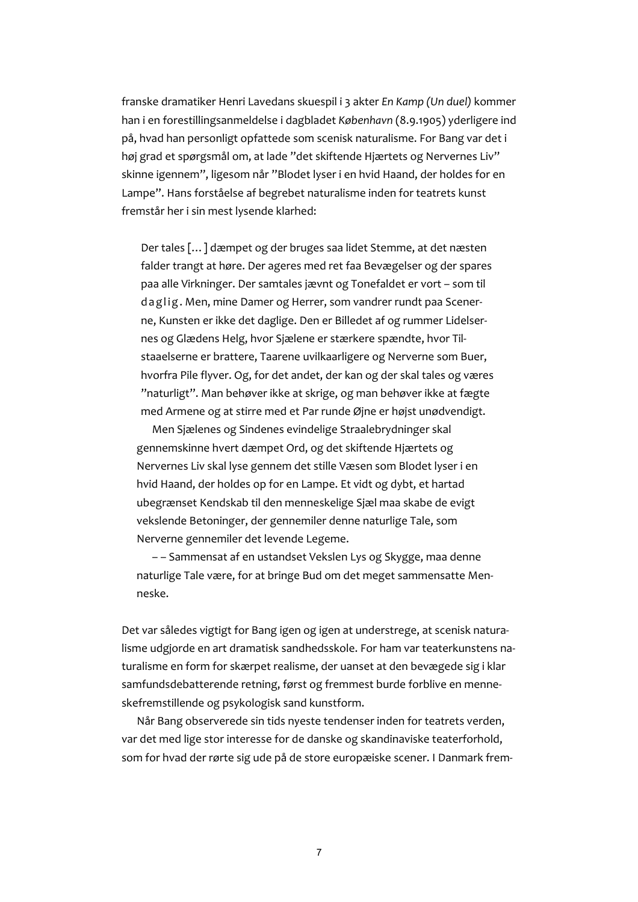franske dramatiker Henri Lavedans skuespil i 3 akter En Kamp (Un duel) kommer han i en forestillingsanmeldelse i dagbladet København (8.9.1905) yderligere ind på, hvad han personligt opfattede som scenisk naturalisme. For Bang var det i høj grad et spørgsmål om, at lade "det skiftende Hjærtets og Nervernes Liv" skinne igennem", ligesom når "Blodet lyser i en hvid Haand, der holdes for en Lampe". Hans forståelse af begrebet naturalisme inden for teatrets kunst fremstår her i sin mest lysende klarhed:

Der tales [...] dæmpet og der bruges saa lidet Stemme, at det næsten falder trangt at høre. Der ageres med ret faa Bevægelser og der spares paa alle Virkninger. Der samtales jævnt og Tonefaldet er vort - som til daglig. Men, mine Damer og Herrer, som vandrer rundt paa Scenerne, Kunsten er ikke det daglige. Den er Billedet af og rummer Lidelsernes og Glædens Helg, hvor Sjælene er stærkere spændte, hvor Tilstaaelserne er brattere, Taarene uvilkaarligere og Nerverne som Buer, hvorfra Pile flyver. Og, for det andet, der kan og der skal tales og væres "naturligt". Man behøver ikke at skrige, og man behøver ikke at fægte med Armene og at stirre med et Par runde Øjne er højst unødvendigt.

Men Sjælenes og Sindenes evindelige Straalebrydninger skal gennemskinne hvert dæmpet Ord, og det skiftende Hjærtets og Nervernes Liv skal lyse gennem det stille Væsen som Blodet lyser i en hvid Haand, der holdes op for en Lampe. Et vidt og dybt, et hartad ubegrænset Kendskab til den menneskelige Sjæl maa skabe de evigt vekslende Betoninger, der gennemiler denne naturlige Tale, som Nerverne gennemiler det levende Legeme.

-- Sammensat af en ustandset Vekslen Lys og Skygge, maa denne naturlige Tale være, for at bringe Bud om det meget sammensatte Menneske.

Det var således vigtigt for Bang igen og igen at understrege, at scenisk naturalisme udgjorde en art dramatisk sandhedsskole. For ham var teaterkunstens naturalisme en form for skærpet realisme, der uanset at den bevægede sig i klar samfundsdebatterende retning, først og fremmest burde forblive en menneskefremstillende og psykologisk sand kunstform.

Når Bang observerede sin tids nyeste tendenser inden for teatrets verden, var det med lige stor interesse for de danske og skandinaviske teaterforhold, som for hvad der rørte sig ude på de store europæiske scener. I Danmark frem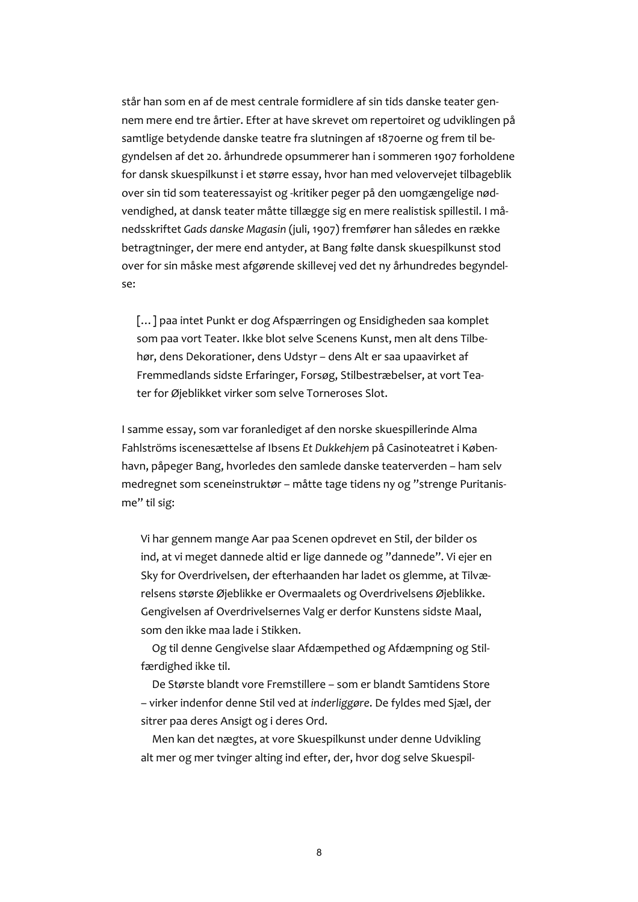står han som en af de mest centrale formidlere af sin tids danske teater gennem mere end tre årtier. Efter at have skrevet om repertoiret og udviklingen på samtlige betydende danske teatre fra slutningen af 1870erne og frem til begyndelsen af det 20. århundrede opsummerer han i sommeren 1907 forholdene for dansk skuespilkunst i et større essay, hvor han med velovervejet tilbageblik over sin tid som teateressayist og -kritiker peger på den uomgængelige nødvendighed, at dansk teater måtte tillægge sig en mere realistisk spillestil. I månedsskriftet Gads danske Magasin (juli, 1907) fremfører han således en række betragtninger, der mere end antyder, at Bang følte dansk skuespilkunst stod over for sin måske mest afgørende skillevej ved det ny århundredes begyndelse:

[...] paa intet Punkt er dog Afspærringen og Ensidigheden saa komplet som paa vort Teater. Ikke blot selve Scenens Kunst, men alt dens Tilbehør, dens Dekorationer, dens Udstyr - dens Alt er saa upaavirket af Fremmedlands sidste Erfaringer, Forsøg, Stilbestræbelser, at vort Teater for Øieblikket virker som selve Torneroses Slot.

I samme essay, som var foranlediget af den norske skuespillerinde Alma Fahlströms iscenesættelse af Ibsens Et Dukkehjem på Casinoteatret i København, påpeger Bang, hvorledes den samlede danske teaterverden – ham selv medregnet som sceneinstruktør – måtte tage tidens ny og "strenge Puritanisme" til sig:

Vi har gennem mange Aar paa Scenen opdrevet en Stil, der bilder os ind, at vi meget dannede altid er lige dannede og "dannede". Vi ejer en Sky for Overdrivelsen, der efterhaanden har ladet os glemme, at Tilværelsens største Øjeblikke er Overmaalets og Overdrivelsens Øjeblikke. Gengivelsen af Overdrivelsernes Valg er derfor Kunstens sidste Maal, som den ikke maa lade i Stikken.

Og til denne Gengivelse slaar Afdæmpethed og Afdæmpning og Stilfærdighed ikke til.

De Største blandt vore Fremstillere - som er blandt Samtidens Store - virker indenfor denne Stil ved at inderliggøre. De fyldes med Sjæl, der sitrer paa deres Ansigt og i deres Ord.

Men kan det nægtes, at vore Skuespilkunst under denne Udvikling alt mer og mer tvinger alting ind efter, der, hvor dog selve Skuespil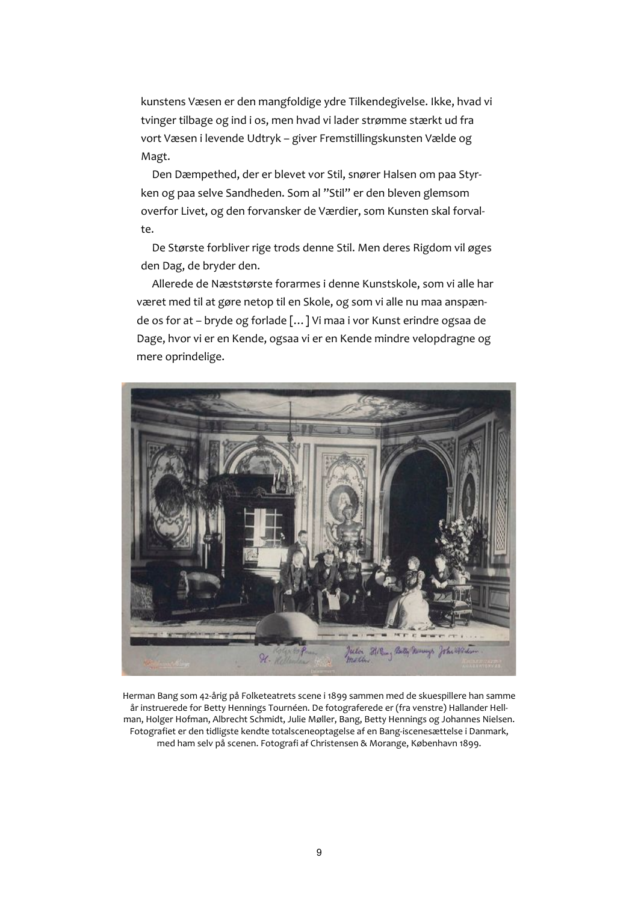kunstens Væsen er den mangfoldige ydre Tilkendegivelse. Ikke, hvad vi tvinger tilbage og ind i os, men hvad vi lader strømme stærkt ud fra vort Væsen i levende Udtryk - giver Fremstillingskunsten Vælde og Magt.

Den Dæmpethed, der er blevet vor Stil, snører Halsen om paa Styrken og paa selve Sandheden. Som al "Stil" er den bleven glemsom overfor Livet, og den forvansker de Værdier, som Kunsten skal forvalte.

De Største forbliver rige trods denne Stil. Men deres Rigdom vil øges den Dag, de bryder den.

Allerede de Næststørste forarmes i denne Kunstskole, som vi alle har været med til at gøre netop til en Skole, og som vi alle nu maa anspænde os for at - bryde og forlade [...] Vi maa i vor Kunst erindre ogsaa de Dage, hvor vi er en Kende, ogsaa vi er en Kende mindre velopdragne og mere oprindelige.



Herman Bang som 42-årig på Folketeatrets scene i 1899 sammen med de skuespillere han samme år instruerede for Betty Hennings Tournéen. De fotograferede er (fra venstre) Hallander Hellman, Holger Hofman, Albrecht Schmidt, Julie Møller, Bang, Betty Hennings og Johannes Nielsen. Fotografiet er den tidligste kendte totalsceneoptagelse af en Bang-iscenesættelse i Danmark, med ham selv på scenen. Fotografi af Christensen & Morange, København 1899.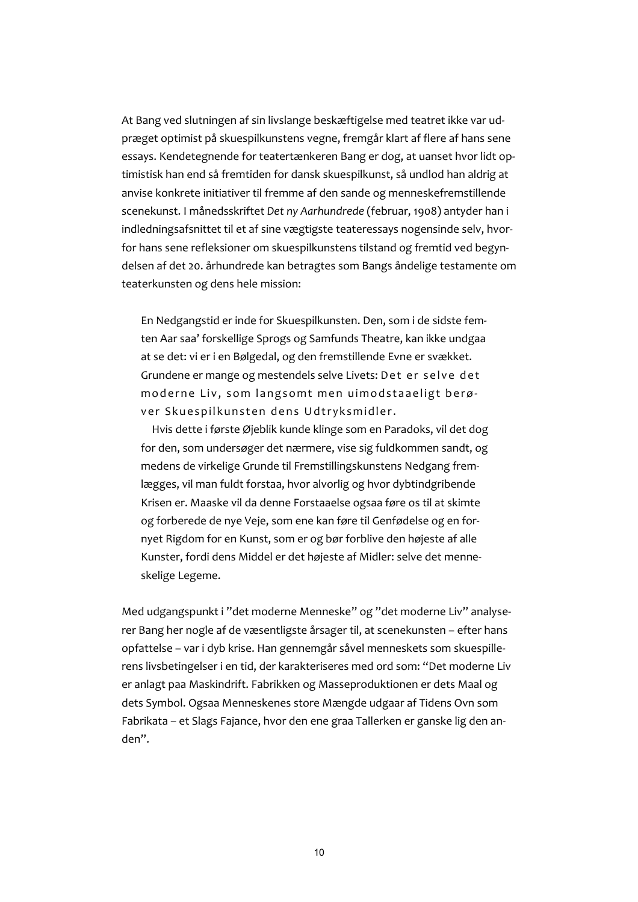At Bang ved slutningen af sin livslange beskæftigelse med teatret ikke var udpræget optimist på skuespilkunstens vegne, fremgår klart af flere af hans sene essays. Kendetegnende for teatertænkeren Bang er dog, at uanset hvor lidt optimistisk han end så fremtiden for dansk skuespilkunst, så undlod han aldrig at anvise konkrete initiativer til fremme af den sande og menneskefremstillende scenekunst. I månedsskriftet Det ny Aarhundrede (februar, 1908) antyder han i indledningsafsnittet til et af sine vægtigste teateressavs nogensinde selv, hvorfor hans sene refleksioner om skuespilkunstens tilstand og fremtid ved begyndelsen af det 20. århundrede kan betragtes som Bangs åndelige testamente om teaterkunsten og dens hele mission:

En Nedgangstid er inde for Skuespilkunsten. Den, som i de sidste femten Aar saa' forskellige Sprogs og Samfunds Theatre, kan ikke undgaa at se det: vi er i en Bølgedal, og den fremstillende Evne er svækket. Grundene er mange og mestendels selve Livets: Det er selve det moderne Liv. som langsomt men uimodstaaeligt berøver Skuespilkunsten dens Udtryksmidler.

Hvis dette i første Øjeblik kunde klinge som en Paradoks, vil det dog for den, som undersøger det nærmere, vise sig fuldkommen sandt, og medens de virkelige Grunde til Fremstillingskunstens Nedgang fremlægges, vil man fuldt forstaa, hvor alvorlig og hvor dvbtindgribende Krisen er. Maaske vil da denne Forstaaelse ogsaa føre os til at skimte og forberede de nye Veje, som ene kan føre til Genfødelse og en fornyet Rigdom for en Kunst, som er og bør forblive den højeste af alle Kunster, fordi dens Middel er det højeste af Midler: selve det menneskelige Legeme.

Med udgangspunkt i "det moderne Menneske" og "det moderne Liv" analyserer Bang her nogle af de væsentligste årsager til, at scenekunsten – efter hans opfattelse - var i dyb krise. Han gennemgår såvel menneskets som skuespillerens livsbetingelser i en tid, der karakteriseres med ord som: "Det moderne Liv er anlagt paa Maskindrift. Fabrikken og Masseproduktionen er dets Maal og dets Symbol. Ogsaa Menneskenes store Mængde udgaar af Tidens Ovn som Fabrikata - et Slags Fajance, hvor den ene graa Tallerken er ganske lig den anden".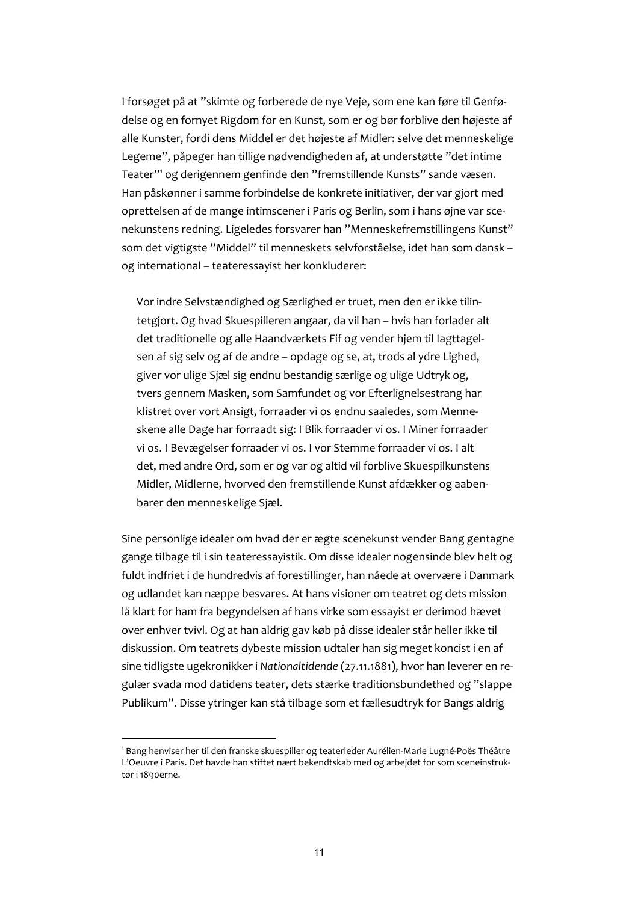I forsøget på at "skimte og forberede de nye Veje, som ene kan føre til Genfødelse og en fornyet Rigdom for en Kunst, som er og bør forblive den højeste af alle Kunster, fordi dens Middel er det højeste af Midler: selve det menneskelige Legeme", påpeger han tillige nødvendigheden af, at understøtte "det intime Teater"<sup>1</sup> og derigennem genfinde den "fremstillende Kunsts" sande væsen. Han påskønner i samme forbindelse de konkrete initiativer, der var gjort med oprettelsen af de mange intimscener i Paris og Berlin, som i hans øjne var scenekunstens redning. Ligeledes forsvarer han "Menneskefremstillingens Kunst" som det vigtigste "Middel" til menneskets selvforståelse, idet han som dansk og international - teateressayist her konkluderer:

Vor indre Selvstændighed og Særlighed er truet, men den er ikke tilintetgjort. Og hvad Skuespilleren angaar, da vil han - hvis han forlader alt det traditionelle og alle Haandværkets Fif og vender hjem til lagttagelsen af sig selv og af de andre - opdage og se, at, trods al ydre Lighed, giver vor ulige Sjæl sig endnu bestandig særlige og ulige Udtryk og, tvers gennem Masken, som Samfundet og vor Efterlignelsestrang har klistret over vort Ansigt, forraader vi os endnu saaledes, som Menneskene alle Dage har forraadt sig: I Blik forraader vi os. I Miner forraader vi os. I Bevægelser forraader vi os. I vor Stemme forraader vi os. I alt det, med andre Ord, som er og var og altid vil forblive Skuespilkunstens Midler, Midlerne, hvorved den fremstillende Kunst afdækker og aabenbarer den menneskelige Sjæl.

Sine personlige idealer om hvad der er ægte scenekunst vender Bang gentagne gange tilbage til i sin teateressayistik. Om disse idealer nogensinde blev helt og fuldt indfriet i de hundredvis af forestillinger, han nåede at overvære i Danmark og udlandet kan næppe besvares. At hans visioner om teatret og dets mission lå klart for ham fra begyndelsen af hans virke som essayist er derimod hævet over enhver tvivl. Og at han aldrig gav køb på disse idealer står heller ikke til diskussion. Om teatrets dybeste mission udtaler han sig meget koncist i en af sine tidligste ugekronikker i Nationaltidende (27.11.1881), hvor han leverer en regulær svada mod datidens teater, dets stærke traditionsbundethed og "slappe Publikum". Disse ytringer kan stå tilbage som et fællesudtryk for Bangs aldrig

<sup>&</sup>lt;sup>1</sup> Bang henviser her til den franske skuespiller og teaterleder Aurélien-Marie Lugné-Poës Théâtre L'Oeuvre i Paris. Det havde han stiftet nært bekendtskab med og arbejdet for som sceneinstruktør i 1890erne.